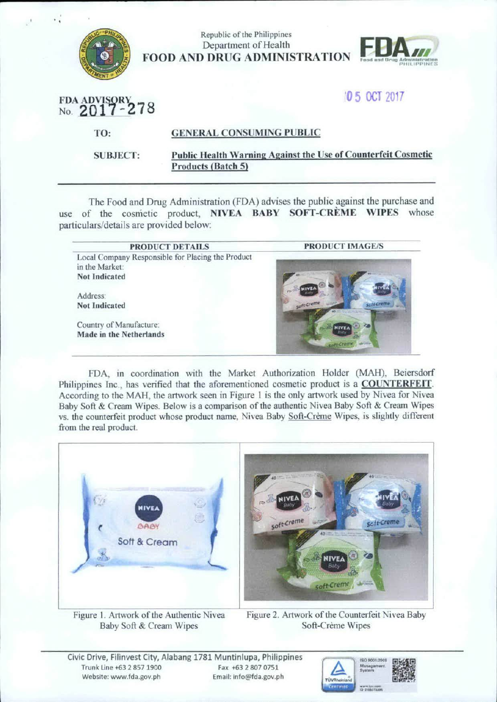

| Republic of the Philippines         |                                     |
|-------------------------------------|-------------------------------------|
| Department of Health                | <b>FBA</b>                          |
| <b>FOOD AND DRUG ADMINISTRATION</b> | <b>Food and Drug Administration</b> |

## 105 OCT 2017

**PHILIPPINES** 

|  | FDA ADVISORY<br>No. 2017-278 |  |
|--|------------------------------|--|

TO: GENERAL CONSUMING PUBLIC

SUBJECT:

## Public Health Warning Against the Use of Counterfeit Cosmetic Products (Batch 5)

The food and Drug Administration (FDA) advises the public against the purchase and use of the cosmetic product, NIVEA BABY SOFT-CREME WIPES whose particulars/details are provided below:

| PRODUCT DETAILS                                   | <b>PRODUCT IMAGE/S</b> |
|---------------------------------------------------|------------------------|
| Local Company Responsible for Placing the Product |                        |
| in the Market:                                    |                        |
| <b>Not Indicated</b>                              |                        |
| Address:                                          | <b>WIVE</b>            |
| <b>Not Indicated</b>                              | soft-creme             |
| Country of Manufacture:                           | <b>NIVE</b>            |
| Made in the Netherlands                           | <b>ALCOHOL</b>         |

FDA, in coordination with the Market Authorization Holder (MAH), Beiersdorf Philippines Inc., has verified that the aforementioned cosmetic product is a COUNTERFEIT. According to the MAH, the artwork seen in Figure l is the only artwork used by Nivea for Nivea Baby Soft & Cream Wipes. Below is a comparison of the authentic Nivea Baby Soft & Cream Wipes vs. the counterfeit product whose product name. Nivea Baby Soft-Creme Wipes, is slightly different from the real product.



Figure L Artwork of the Authentic Nivea Baby Soft & Cream Wipes

Figure 2. Artwork of the Counterfeit Nivea Baby Soft-Creme Wipes